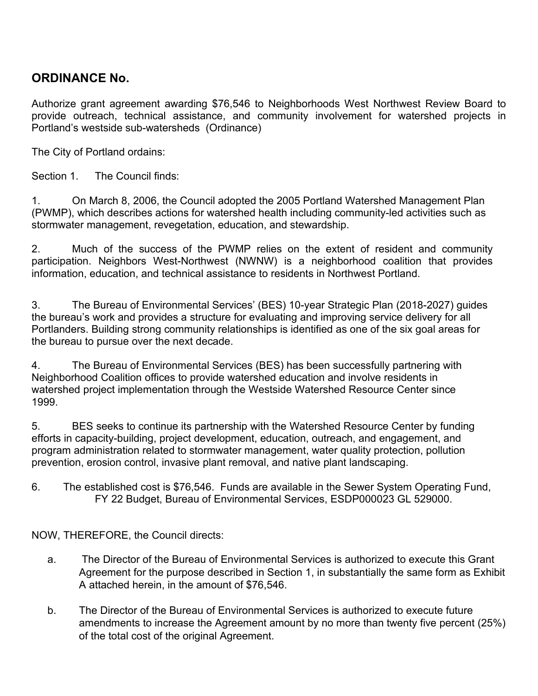# **ORDINANCE No.**

Authorize grant agreement awarding \$76,546 to Neighborhoods West Northwest Review Board to provide outreach, technical assistance, and community involvement for watershed projects in Portland's westside sub-watersheds (Ordinance)

The City of Portland ordains:

Section 1. The Council finds:

1. On March 8, 2006, the Council adopted the 2005 Portland Watershed Management Plan (PWMP), which describes actions for watershed health including community-led activities such as stormwater management, revegetation, education, and stewardship.

2. Much of the success of the PWMP relies on the extent of resident and community participation. Neighbors West-Northwest (NWNW) is a neighborhood coalition that provides information, education, and technical assistance to residents in Northwest Portland.

3. The Bureau of Environmental Services' (BES) 10-year Strategic Plan (2018-2027) guides the bureau's work and provides a structure for evaluating and improving service delivery for all Portlanders. Building strong community relationships is identified as one of the six goal areas for the bureau to pursue over the next decade.

4. The Bureau of Environmental Services (BES) has been successfully partnering with Neighborhood Coalition offices to provide watershed education and involve residents in watershed project implementation through the Westside Watershed Resource Center since 1999.

5. BES seeks to continue its partnership with the Watershed Resource Center by funding efforts in capacity-building, project development, education, outreach, and engagement, and program administration related to stormwater management, water quality protection, pollution prevention, erosion control, invasive plant removal, and native plant landscaping.

6. The established cost is \$76,546. Funds are available in the Sewer System Operating Fund, FY 22 Budget, Bureau of Environmental Services, ESDP000023 GL 529000.

NOW, THEREFORE, the Council directs:

- a. The Director of the Bureau of Environmental Services is authorized to execute this Grant Agreement for the purpose described in Section 1, in substantially the same form as Exhibit A attached herein, in the amount of \$76,546.
- b. The Director of the Bureau of Environmental Services is authorized to execute future amendments to increase the Agreement amount by no more than twenty five percent (25%) of the total cost of the original Agreement.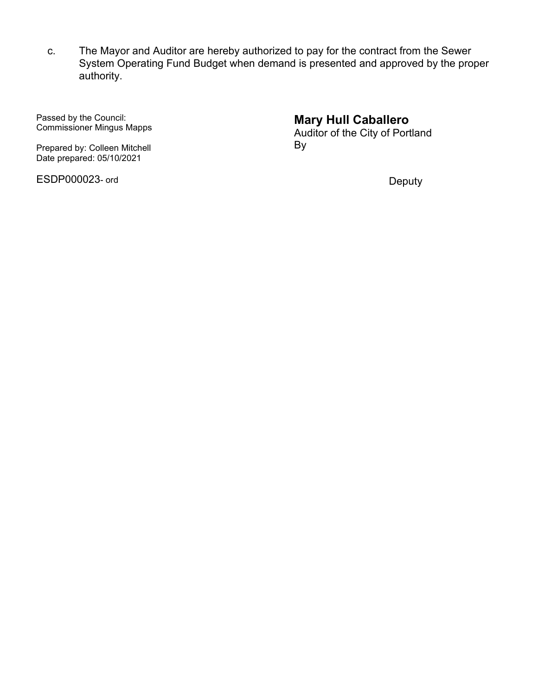c. The Mayor and Auditor are hereby authorized to pay for the contract from the Sewer System Operating Fund Budget when demand is presented and approved by the proper authority.

Passed by the Council: Commissioner Mingus Mapps

Prepared by: Colleen Mitchell Date prepared: 05/10/2021

ESDP000023- ord

# **Mary Hull Caballero**

Auditor of the City of Portland By

Deputy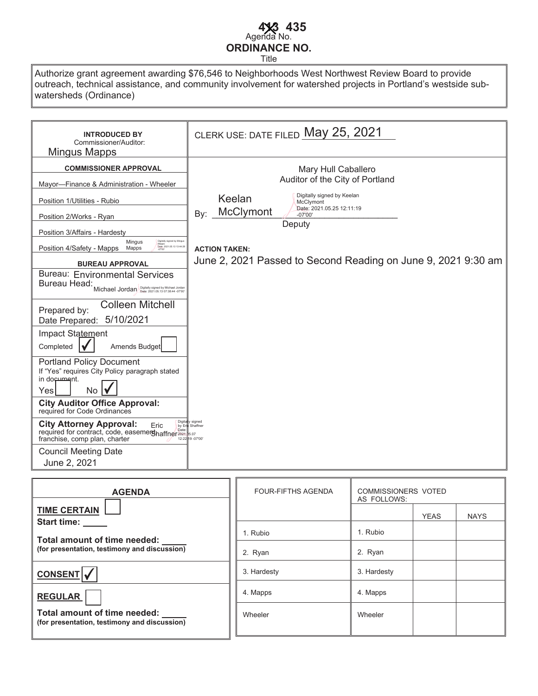## Agenda No. **ORDINANCE NO. 413 435**

Title

Authorize grant agreement awarding \$76,546 to Neighborhoods West Northwest Review Board to provide outreach, technical assistance, and community involvement for watershed projects in Portland's westside subwatersheds (Ordinance)

| <b>INTRODUCED BY</b><br>Commissioner/Auditor:<br>Mingus Mapps                                                                                                                                                                                                                                                                                                                                                                                                                                                                                                                                                                                                                                                                                                                                                                                                                                                                             | CLERK USE: DATE FILED May 25, 2021                                                                                                                                                                                                                                                                                        |
|-------------------------------------------------------------------------------------------------------------------------------------------------------------------------------------------------------------------------------------------------------------------------------------------------------------------------------------------------------------------------------------------------------------------------------------------------------------------------------------------------------------------------------------------------------------------------------------------------------------------------------------------------------------------------------------------------------------------------------------------------------------------------------------------------------------------------------------------------------------------------------------------------------------------------------------------|---------------------------------------------------------------------------------------------------------------------------------------------------------------------------------------------------------------------------------------------------------------------------------------------------------------------------|
| <b>COMMISSIONER APPROVAL</b><br>Mayor-Finance & Administration - Wheeler<br>Position 1/Utilities - Rubio<br>Position 2/Works - Ryan<br>Position 3/Affairs - Hardesty<br>Digitally signed by Mingu<br>Mingus<br>Mapps<br>Date: 2021.05.13 13:44:28<br>Position 4/Safety - Mapps Mapps<br><b>BUREAU APPROVAL</b><br><b>Bureau: Environmental Services</b><br>Bureau Head:<br>Michael Jordan Digitally signed by Michael Jordan<br><b>Colleen Mitchell</b><br>Prepared by:<br>5/10/2021<br>Date Prepared:<br>Impact Statement<br>Amends Budget<br>Completed<br><b>Portland Policy Document</b><br>If "Yes" requires City Policy paragraph stated<br>in document.<br>No<br>Yes<br><b>City Auditor Office Approval:</b><br>required for Code Ordinances<br>Digita<br><b>City Attorney Approval:</b><br>Eric<br>by Er<br>required for contract, code, easemerghaffner2021.35.07<br>franchise, comp plan, charter<br><b>Council Meeting Date</b> | Mary Hull Caballero<br>Auditor of the City of Portland<br>Digitally signed by Keelan<br>Keelan<br>McClymont<br>Date: 2021.05.25 12:11:19<br>McClymont<br>By:<br>$-07'00'$<br>Deputy<br><b>ACTION TAKEN:</b><br>June 2, 2021 Passed to Second Reading on June 9, 2021 9:30 am<br>v signed<br>Shaffner<br>12:22 19 - 07'00' |
| June 2, 2021                                                                                                                                                                                                                                                                                                                                                                                                                                                                                                                                                                                                                                                                                                                                                                                                                                                                                                                              |                                                                                                                                                                                                                                                                                                                           |

| <b>AGENDA</b>                                                                | <b>FOUR-FIFTHS AGENDA</b> | COMMISSIONERS VOTED<br>AS FOLLOWS: |  |  |
|------------------------------------------------------------------------------|---------------------------|------------------------------------|--|--|
| <b>TIME CERTAIN</b><br><b>Start time:</b>                                    |                           | <b>YEAS</b><br><b>NAYS</b>         |  |  |
| Total amount of time needed:                                                 | 1. Rubio                  | 1. Rubio                           |  |  |
| (for presentation, testimony and discussion)                                 | 2. Ryan                   | 2. Ryan                            |  |  |
| CONSENT                                                                      | 3. Hardesty               | 3. Hardesty                        |  |  |
| <b>REGULAR</b>                                                               | 4. Mapps                  | 4. Mapps                           |  |  |
| Total amount of time needed:<br>(for presentation, testimony and discussion) | Wheeler                   | Wheeler                            |  |  |
|                                                                              |                           |                                    |  |  |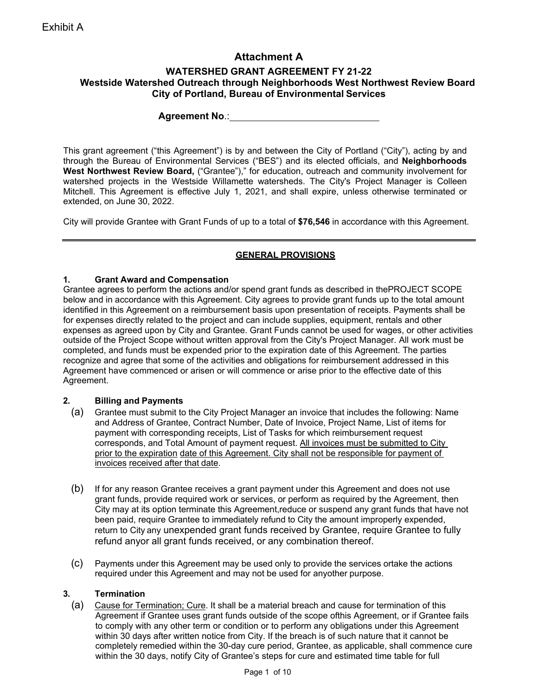## **Attachment A**

### **WATERSHED GRANT AGREEMENT FY 21-22 Westside Watershed Outreach through Neighborhoods West Northwest Review Board City of Portland, Bureau of Environmental Services**

**Agreement No**.:

This grant agreement ("this Agreement") is by and between the City of Portland ("City"), acting by and through the Bureau of Environmental Services ("BES") and its elected officials, and **Neighborhoods West Northwest Review Board,** ("Grantee")," for education, outreach and community involvement for watershed projects in the Westside Willamette watersheds. The City's Project Manager is Colleen Mitchell. This Agreement is effective July 1, 2021, and shall expire, unless otherwise terminated or extended, on June 30, 2022.

City will provide Grantee with Grant Funds of up to a total of **\$76,546** in accordance with this Agreement.

### **GENERAL PROVISIONS**

#### **1. Grant Award and Compensation**

Grantee agrees to perform the actions and/or spend grant funds as described in thePROJECT SCOPE below and in accordance with this Agreement. City agrees to provide grant funds up to the total amount identified in this Agreement on a reimbursement basis upon presentation of receipts. Payments shall be for expenses directly related to the project and can include supplies, equipment, rentals and other expenses as agreed upon by City and Grantee. Grant Funds cannot be used for wages, or other activities outside of the Project Scope without written approval from the City's Project Manager. All work must be completed, and funds must be expended prior to the expiration date of this Agreement. The parties recognize and agree that some of the activities and obligations for reimbursement addressed in this Agreement have commenced or arisen or will commence or arise prior to the effective date of this Agreement.

### **2. Billing and Payments**

- (a) Grantee must submit to the City Project Manager an invoice that includes the following: Name and Address of Grantee, Contract Number, Date of Invoice, Project Name, List of items for payment with corresponding receipts, List of Tasks for which reimbursement request corresponds, and Total Amount of payment request. All invoices must be submitted to City prior to the expiration date of this Agreement. City shall not be responsible for payment of invoices received after that date.
- (b) If for any reason Grantee receives a grant payment under this Agreement and does not use grant funds, provide required work or services, or perform as required by the Agreement, then City may at its option terminate this Agreement,reduce or suspend any grant funds that have not been paid, require Grantee to immediately refund to City the amount improperly expended, return to City any unexpended grant funds received by Grantee, require Grantee to fully refund anyor all grant funds received, or any combination thereof.
- (c) Payments under this Agreement may be used only to provide the services ortake the actions required under this Agreement and may not be used for anyother purpose.

### **3. Termination**

(a) Cause for Termination; Cure. It shall be a material breach and cause for termination of this Agreement if Grantee uses grant funds outside of the scope ofthis Agreement, or if Grantee fails to comply with any other term or condition or to perform any obligations under this Agreement within 30 days after written notice from City. If the breach is of such nature that it cannot be completely remedied within the 30-day cure period, Grantee, as applicable, shall commence cure within the 30 days, notify City of Grantee's steps for cure and estimated time table for full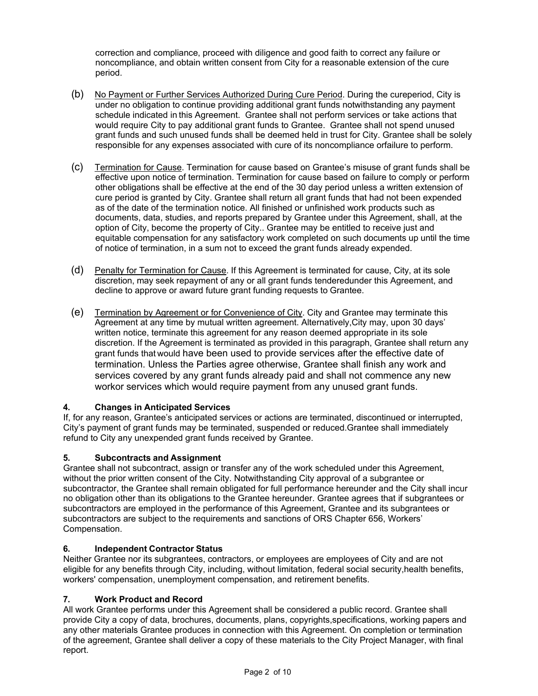correction and compliance, proceed with diligence and good faith to correct any failure or noncompliance, and obtain written consent from City for a reasonable extension of the cure period.

- (b) No Payment or Further Services Authorized During Cure Period. During the cureperiod, City is under no obligation to continue providing additional grant funds notwithstanding any payment schedule indicated in this Agreement. Grantee shall not perform services or take actions that would require City to pay additional grant funds to Grantee. Grantee shall not spend unused grant funds and such unused funds shall be deemed held in trust for City. Grantee shall be solely responsible for any expenses associated with cure of its noncompliance orfailure to perform.
- (c) Termination for Cause. Termination for cause based on Grantee's misuse of grant funds shall be effective upon notice of termination. Termination for cause based on failure to comply or perform other obligations shall be effective at the end of the 30 day period unless a written extension of cure period is granted by City. Grantee shall return all grant funds that had not been expended as of the date of the termination notice. All finished or unfinished work products such as documents, data, studies, and reports prepared by Grantee under this Agreement, shall, at the option of City, become the property of City.. Grantee may be entitled to receive just and equitable compensation for any satisfactory work completed on such documents up until the time of notice of termination, in a sum not to exceed the grant funds already expended.
- (d) Penalty for Termination for Cause. If this Agreement is terminated for cause, City, at its sole discretion, may seek repayment of any or all grant funds tenderedunder this Agreement, and decline to approve or award future grant funding requests to Grantee.
- (e) Termination by Agreement or for Convenience of City. City and Grantee may terminate this Agreement at any time by mutual written agreement. Alternatively,City may, upon 30 days' written notice, terminate this agreement for any reason deemed appropriate in its sole discretion. If the Agreement is terminated as provided in this paragraph, Grantee shall return any grant funds that would have been used to provide services after the effective date of termination. Unless the Parties agree otherwise, Grantee shall finish any work and services covered by any grant funds already paid and shall not commence any new workor services which would require payment from any unused grant funds.

### **4. Changes in Anticipated Services**

If, for any reason, Grantee's anticipated services or actions are terminated, discontinued or interrupted, City's payment of grant funds may be terminated, suspended or reduced.Grantee shall immediately refund to City any unexpended grant funds received by Grantee.

### **5. Subcontracts and Assignment**

Grantee shall not subcontract, assign or transfer any of the work scheduled under this Agreement, without the prior written consent of the City. Notwithstanding City approval of a subgrantee or subcontractor, the Grantee shall remain obligated for full performance hereunder and the City shall incur no obligation other than its obligations to the Grantee hereunder. Grantee agrees that if subgrantees or subcontractors are employed in the performance of this Agreement, Grantee and its subgrantees or subcontractors are subject to the requirements and sanctions of ORS Chapter 656, Workers' Compensation.

### **6. Independent Contractor Status**

Neither Grantee nor its subgrantees, contractors, or employees are employees of City and are not eligible for any benefits through City, including, without limitation, federal social security,health benefits, workers' compensation, unemployment compensation, and retirement benefits.

### **7. Work Product and Record**

All work Grantee performs under this Agreement shall be considered a public record. Grantee shall provide City a copy of data, brochures, documents, plans, copyrights,specifications, working papers and any other materials Grantee produces in connection with this Agreement. On completion or termination of the agreement, Grantee shall deliver a copy of these materials to the City Project Manager, with final report.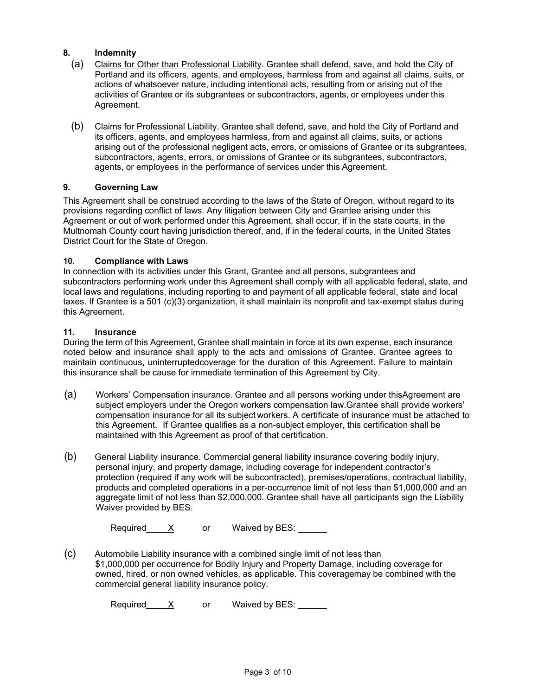#### **8. Indemnity**

- (a) Claims for Other than Professional Liability. Grantee shall defend, save, and hold the City of Portland and its officers, agents, and employees, harmless from and against all claims, suits, or actions of whatsoever nature, including intentional acts, resulting from or arising out of the activities of Grantee or its subgrantees or subcontractors, agents, or employees under this Agreement.
- (b) Claims for Professional Liability. Grantee shall defend, save, and hold the City of Portland and its officers, agents, and employees harmless, from and against all claims, suits, or actions arising out of the professional negligent acts, errors, or omissions of Grantee or its subgrantees, subcontractors, agents, errors, or omissions of Grantee or its subgrantees, subcontractors, agents, or employees in the performance of services under this Agreement.

### **9. Governing Law**

This Agreement shall be construed according to the laws of the State of Oregon, without regard to its provisions regarding conflict of laws. Any litigation between City and Grantee arising under this Agreement or out of work performed under this Agreement, shall occur, if in the state courts, in the Multnomah County court having jurisdiction thereof, and, if in the federal courts, in the United States District Court for the State of Oregon.

#### **10. Compliance with Laws**

In connection with its activities under this Grant, Grantee and all persons, subgrantees and subcontractors performing work under this Agreement shall comply with all applicable federal, state, and local laws and regulations, including reporting to and payment of all applicable federal, state and local taxes. If Grantee is a 501 (c)(3) organization, it shall maintain its nonprofit and tax-exempt status during this Agreement.

#### **11. Insurance**

During the term of this Agreement, Grantee shall maintain in force at its own expense, each insurance noted below and insurance shall apply to the acts and omissions of Grantee. Grantee agrees to maintain continuous, uninterruptedcoverage for the duration of this Agreement. Failure to maintain this insurance shall be cause for immediate termination of this Agreement by City.

- (a) Workers' Compensation insurance. Grantee and all persons working under thisAgreement are subject employers under the Oregon workers compensation law.Grantee shall provide workers' compensation insurance for all its subject workers. A certificate of insurance must be attached to this Agreement. If Grantee qualifies as a non-subject employer, this certification shall be maintained with this Agreement as proof of that certification.
- (b) General Liability insurance. Commercial general liability insurance covering bodily injury, personal injury, and property damage, including coverage for independent contractor's protection (required if any work will be subcontracted), premises/operations, contractual liability, products and completed operations in a per-occurrence limit of not less than \$1,000,000 and an aggregate limit of not less than \$2,000,000. Grantee shall have all participants sign the Liability Waiver provided by BES.

|  | Required |  | or | Waived by BES: |  |
|--|----------|--|----|----------------|--|
|--|----------|--|----|----------------|--|

(c) Automobile Liability insurance with a combined single limit of not less than \$1,000,000 per occurrence for Bodily Injury and Property Damage, including coverage for owned, hired, or non owned vehicles, as applicable. This coveragemay be combined with the commercial general liability insurance policy.

Required  $X$  or Waived by BES: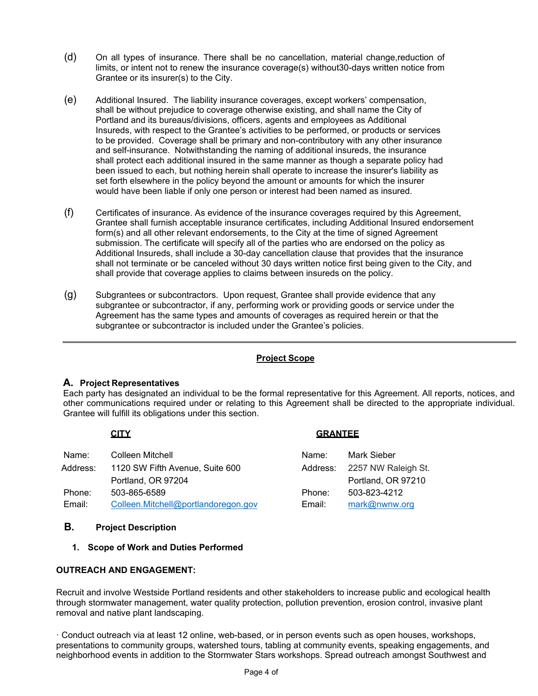- (d) On all types of insurance. There shall be no cancellation, material change,reduction of limits, or intent not to renew the insurance coverage(s) without30-days written notice from Grantee or its insurer(s) to the City.
- (e) Additional Insured. The liability insurance coverages, except workers' compensation, shall be without prejudice to coverage otherwise existing, and shall name the City of Portland and its bureaus/divisions, officers, agents and employees as Additional Insureds, with respect to the Grantee's activities to be performed, or products or services to be provided. Coverage shall be primary and non-contributory with any other insurance and self-insurance. Notwithstanding the naming of additional insureds, the insurance shall protect each additional insured in the same manner as though a separate policy had been issued to each, but nothing herein shall operate to increase the insurer's liability as set forth elsewhere in the policy beyond the amount or amounts for which the insurer would have been liable if only one person or interest had been named as insured.
- (f) Certificates of insurance. As evidence of the insurance coverages required by this Agreement, Grantee shall furnish acceptable insurance certificates, including Additional Insured endorsement form(s) and all other relevant endorsements, to the City at the time of signed Agreement submission. The certificate will specify all of the parties who are endorsed on the policy as Additional Insureds, shall include a 30-day cancellation clause that provides that the insurance shall not terminate or be canceled without 30 days written notice first being given to the City, and shall provide that coverage applies to claims between insureds on the policy.
- (g) Subgrantees or subcontractors. Upon request, Grantee shall provide evidence that any subgrantee or subcontractor, if any, performing work or providing goods or service under the Agreement has the same types and amounts of coverages as required herein or that the subgrantee or subcontractor is included under the Grantee's policies.

### **Project Scope**

### **A. Project Representatives**

Each party has designated an individual to be the formal representative for this Agreement. All reports, notices, and other communications required under or relating to this Agreement shall be directed to the appropriate individual. Grantee will fulfill its obligations under this section.

### **CITY GRANTEE**

| Name:    | Colleen Mitchell                    | Name:  | Mark Sieber                  |
|----------|-------------------------------------|--------|------------------------------|
| Address: | 1120 SW Fifth Avenue, Suite 600     |        | Address: 2257 NW Raleigh St. |
|          | Portland, OR 97204                  |        | Portland, OR 97210           |
| Phone:   | 503-865-6589                        | Phone: | 503-823-4212                 |
| Email:   | Colleen.Mitchell@portlandoregon.gov | Email: | mark@nwnw.org                |

### **B. Project Description**

#### **1. Scope of Work and Duties Performed**

### **OUTREACH AND ENGAGEMENT:**

Recruit and involve Westside Portland residents and other stakeholders to increase public and ecological health through stormwater management, water quality protection, pollution prevention, erosion control, invasive plant removal and native plant landscaping.

· Conduct outreach via at least 12 online, web-based, or in person events such as open houses, workshops, presentations to community groups, watershed tours, tabling at community events, speaking engagements, and neighborhood events in addition to the Stormwater Stars workshops. Spread outreach amongst Southwest and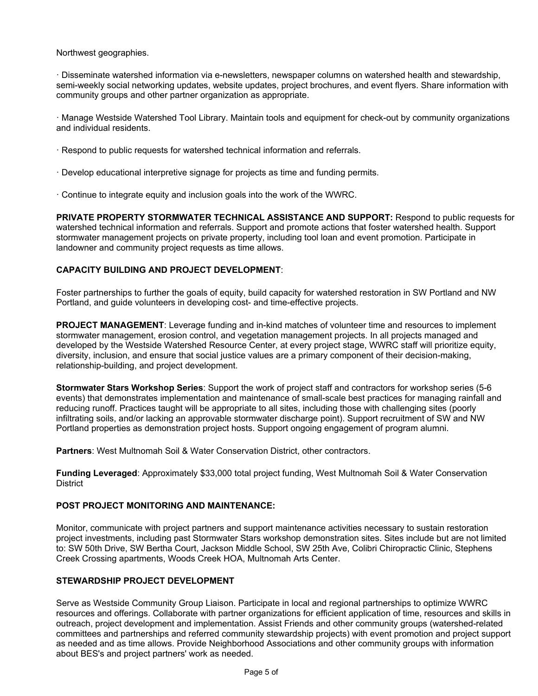Northwest geographies.

· Disseminate watershed information via e-newsletters, newspaper columns on watershed health and stewardship, semi-weekly social networking updates, website updates, project brochures, and event flyers. Share information with community groups and other partner organization as appropriate.

· Manage Westside Watershed Tool Library. Maintain tools and equipment for check-out by community organizations and individual residents.

- · Respond to public requests for watershed technical information and referrals.
- · Develop educational interpretive signage for projects as time and funding permits.
- · Continue to integrate equity and inclusion goals into the work of the WWRC.

**PRIVATE PROPERTY STORMWATER TECHNICAL ASSISTANCE AND SUPPORT:** Respond to public requests for watershed technical information and referrals. Support and promote actions that foster watershed health. Support stormwater management projects on private property, including tool loan and event promotion. Participate in landowner and community project requests as time allows.

#### **CAPACITY BUILDING AND PROJECT DEVELOPMENT**:

Foster partnerships to further the goals of equity, build capacity for watershed restoration in SW Portland and NW Portland, and guide volunteers in developing cost- and time-effective projects.

**PROJECT MANAGEMENT**: Leverage funding and in-kind matches of volunteer time and resources to implement stormwater management, erosion control, and vegetation management projects. In all projects managed and developed by the Westside Watershed Resource Center, at every project stage, WWRC staff will prioritize equity, diversity, inclusion, and ensure that social justice values are a primary component of their decision-making, relationship-building, and project development.

**Stormwater Stars Workshop Series**: Support the work of project staff and contractors for workshop series (5-6 events) that demonstrates implementation and maintenance of small-scale best practices for managing rainfall and reducing runoff. Practices taught will be appropriate to all sites, including those with challenging sites (poorly infiltrating soils, and/or lacking an approvable stormwater discharge point). Support recruitment of SW and NW Portland properties as demonstration project hosts. Support ongoing engagement of program alumni.

**Partners**: West Multnomah Soil & Water Conservation District, other contractors.

**Funding Leveraged**: Approximately \$33,000 total project funding, West Multnomah Soil & Water Conservation **District** 

#### **POST PROJECT MONITORING AND MAINTENANCE:**

Monitor, communicate with project partners and support maintenance activities necessary to sustain restoration project investments, including past Stormwater Stars workshop demonstration sites. Sites include but are not limited to: SW 50th Drive, SW Bertha Court, Jackson Middle School, SW 25th Ave, Colibri Chiropractic Clinic, Stephens Creek Crossing apartments, Woods Creek HOA, Multnomah Arts Center.

#### **STEWARDSHIP PROJECT DEVELOPMENT**

Serve as Westside Community Group Liaison. Participate in local and regional partnerships to optimize WWRC resources and offerings. Collaborate with partner organizations for efficient application of time, resources and skills in outreach, project development and implementation. Assist Friends and other community groups (watershed-related committees and partnerships and referred community stewardship projects) with event promotion and project support as needed and as time allows. Provide Neighborhood Associations and other community groups with information about BES's and project partners' work as needed.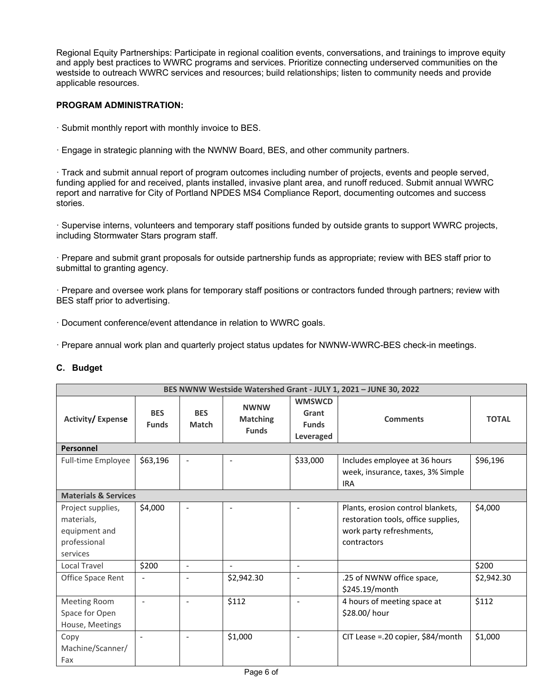Regional Equity Partnerships: Participate in regional coalition events, conversations, and trainings to improve equity and apply best practices to WWRC programs and services. Prioritize connecting underserved communities on the westside to outreach WWRC services and resources; build relationships; listen to community needs and provide applicable resources.

#### **PROGRAM ADMINISTRATION:**

- · Submit monthly report with monthly invoice to BES.
- · Engage in strategic planning with the NWNW Board, BES, and other community partners.

· Track and submit annual report of program outcomes including number of projects, events and people served, funding applied for and received, plants installed, invasive plant area, and runoff reduced. Submit annual WWRC report and narrative for City of Portland NPDES MS4 Compliance Report, documenting outcomes and success stories.

· Supervise interns, volunteers and temporary staff positions funded by outside grants to support WWRC projects, including Stormwater Stars program staff.

· Prepare and submit grant proposals for outside partnership funds as appropriate; review with BES staff prior to submittal to granting agency.

· Prepare and oversee work plans for temporary staff positions or contractors funded through partners; review with BES staff prior to advertising.

· Document conference/event attendance in relation to WWRC goals.

· Prepare annual work plan and quarterly project status updates for NWNW-WWRC-BES check-in meetings.

### **C. Budget**

| BES NWNW Westside Watershed Grant - JULY 1, 2021 - JUNE 30, 2022             |                            |                            |                                                |                                                     |                                                                                                                     |              |  |
|------------------------------------------------------------------------------|----------------------------|----------------------------|------------------------------------------------|-----------------------------------------------------|---------------------------------------------------------------------------------------------------------------------|--------------|--|
| <b>Activity/Expense</b>                                                      | <b>BES</b><br><b>Funds</b> | <b>BES</b><br><b>Match</b> | <b>NWNW</b><br><b>Matching</b><br><b>Funds</b> | <b>WMSWCD</b><br>Grant<br><b>Funds</b><br>Leveraged | <b>Comments</b>                                                                                                     | <b>TOTAL</b> |  |
| Personnel                                                                    |                            |                            |                                                |                                                     |                                                                                                                     |              |  |
| Full-time Employee                                                           | \$63,196                   | $\overline{\phantom{a}}$   | $\overline{\phantom{a}}$                       | \$33,000                                            | Includes employee at 36 hours<br>week, insurance, taxes, 3% Simple<br><b>IRA</b>                                    | \$96,196     |  |
| <b>Materials &amp; Services</b>                                              |                            |                            |                                                |                                                     |                                                                                                                     |              |  |
| Project supplies,<br>materials,<br>equipment and<br>professional<br>services | \$4,000                    | $\overline{\phantom{0}}$   |                                                |                                                     | Plants, erosion control blankets,<br>restoration tools, office supplies,<br>work party refreshments,<br>contractors | \$4,000      |  |
| Local Travel                                                                 | \$200                      | $\overline{\phantom{a}}$   | $\blacksquare$                                 | $\blacksquare$                                      |                                                                                                                     | \$200        |  |
| Office Space Rent                                                            |                            |                            | \$2,942.30                                     | $\overline{\phantom{a}}$                            | .25 of NWNW office space,<br>\$245.19/month                                                                         | \$2,942.30   |  |
| Meeting Room<br>Space for Open<br>House, Meetings                            |                            |                            | \$112                                          |                                                     | 4 hours of meeting space at<br>\$28.00/hour                                                                         | \$112        |  |
| Copy<br>Machine/Scanner/<br>Fax                                              | $\overline{a}$             | $\overline{\phantom{a}}$   | \$1,000                                        | $\overline{\phantom{a}}$                            | CIT Lease = .20 copier, \$84/month                                                                                  | \$1,000      |  |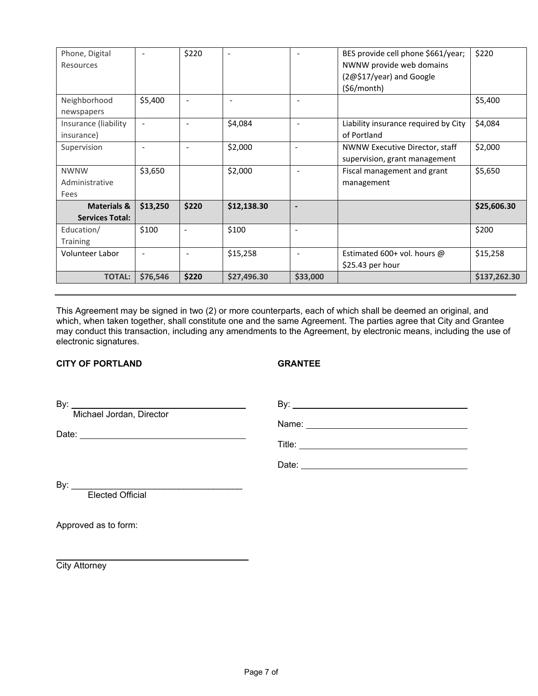| Phone, Digital<br>Resources |                          | \$220                    | $\overline{\phantom{a}}$ | $\overline{\phantom{a}}$ | BES provide cell phone \$661/year;<br>NWNW provide web domains | \$220        |
|-----------------------------|--------------------------|--------------------------|--------------------------|--------------------------|----------------------------------------------------------------|--------------|
|                             |                          |                          |                          |                          | (2@\$17/year) and Google                                       |              |
|                             |                          |                          |                          |                          | (56/month)                                                     |              |
| Neighborhood                | \$5,400                  |                          |                          |                          |                                                                | \$5,400      |
| newspapers                  |                          |                          |                          |                          |                                                                |              |
| Insurance (liability        | $\overline{\phantom{a}}$ | $\overline{\phantom{m}}$ | \$4,084                  | $\overline{\phantom{a}}$ | Liability insurance required by City                           | \$4,084      |
| insurance)                  |                          |                          |                          |                          | of Portland                                                    |              |
| Supervision                 |                          |                          | \$2,000                  |                          | NWNW Executive Director, staff                                 | \$2,000      |
|                             |                          |                          |                          |                          | supervision, grant management                                  |              |
| <b>NWNW</b>                 | \$3,650                  |                          | \$2,000                  |                          | Fiscal management and grant                                    | \$5,650      |
| Administrative              |                          |                          |                          |                          | management                                                     |              |
| Fees                        |                          |                          |                          |                          |                                                                |              |
| <b>Materials &amp;</b>      | \$13,250                 | \$220                    | \$12,138.30              |                          |                                                                | \$25,606.30  |
| <b>Services Total:</b>      |                          |                          |                          |                          |                                                                |              |
| Education/                  | \$100                    | $\overline{\phantom{a}}$ | \$100                    | ۰                        |                                                                | \$200        |
| <b>Training</b>             |                          |                          |                          |                          |                                                                |              |
| Volunteer Labor             |                          |                          | \$15,258                 | $\overline{\phantom{a}}$ | Estimated 600+ vol. hours $\omega$                             | \$15,258     |
|                             |                          |                          |                          |                          | \$25.43 per hour                                               |              |
| <b>TOTAL:</b>               | \$76,546                 | \$220                    | \$27,496.30              | \$33,000                 |                                                                | \$137,262.30 |

This Agreement may be signed in two (2) or more counterparts, each of which shall be deemed an original, and which, when taken together, shall constitute one and the same Agreement. The parties agree that City and Grantee may conduct this transaction, including any amendments to the Agreement, by electronic means, including the use of electronic signatures.

#### **CITY OF PORTLAND GRANTEE**

By: By: Michael Jordan, Director

Name: <u>2000 - 2000 - 2000 - 2000 - 2000 - 2000 - 2000 - 2000 - 2000 - 2000 - 2000 - 2000 - 2000 - 2000 - 2000 - 2000 - 2000 - 2000 - 2000 - 2000 - 2000 - 2000 - 2000 - 2000 - 2000 - 2000 - 2000 - 2000 - 2000 - 2000 - 2000 </u>

Date: <u>Date:</u> 2002 Contract 2004 Contract 2006 Contract 2006 Contract 2006 Contract 2006 Contract 2006 Contract 2006 Contract 2006 Contract 2006 Contract 2006 Contract 2006 Contract 2006 Contract 2006 Contract 2006 Contrac

Title:

Date: **Date: Date: Date: Date: Date: Date: Date: Date: Date: Date: Date: Date: Date: Date: Date: Date: Date: Date: Date: Date: Date: Date: Date: Date: Date: Date: Date:**

By: \_\_\_\_\_\_\_\_\_\_\_\_\_\_\_\_\_\_\_\_\_\_\_\_\_\_\_\_\_\_\_\_\_\_\_

Elected Official

Approved as to form:

**City Attorney**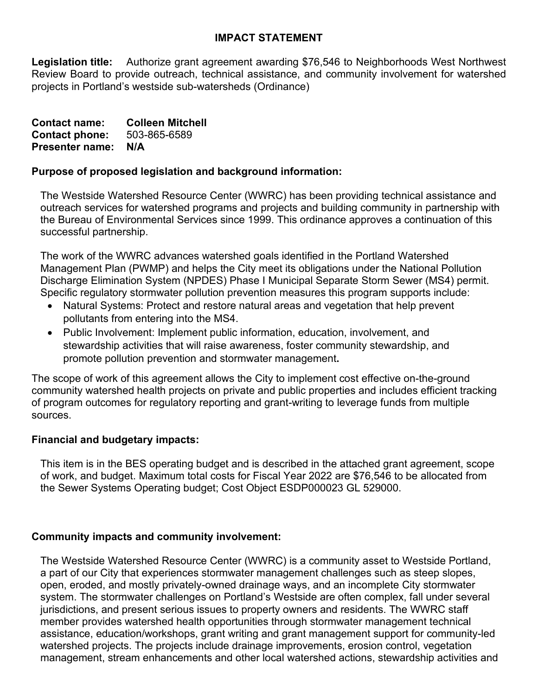## **IMPACT STATEMENT**

**Legislation title:** Authorize grant agreement awarding \$76,546 to Neighborhoods West Northwest Review Board to provide outreach, technical assistance, and community involvement for watershed projects in Portland's westside sub-watersheds (Ordinance)

| <b>Contact name:</b>   | <b>Colleen Mitchell</b> |
|------------------------|-------------------------|
| <b>Contact phone:</b>  | 503-865-6589            |
| <b>Presenter name:</b> | N/A                     |

## **Purpose of proposed legislation and background information:**

The Westside Watershed Resource Center (WWRC) has been providing technical assistance and outreach services for watershed programs and projects and building community in partnership with the Bureau of Environmental Services since 1999. This ordinance approves a continuation of this successful partnership.

The work of the WWRC advances watershed goals identified in the Portland Watershed Management Plan (PWMP) and helps the City meet its obligations under the National Pollution Discharge Elimination System (NPDES) Phase I Municipal Separate Storm Sewer (MS4) permit. Specific regulatory stormwater pollution prevention measures this program supports include:

- Natural Systems: Protect and restore natural areas and vegetation that help prevent pollutants from entering into the MS4.
- Public Involvement: Implement public information, education, involvement, and stewardship activities that will raise awareness, foster community stewardship, and promote pollution prevention and stormwater management**.**

The scope of work of this agreement allows the City to implement cost effective on-the-ground community watershed health projects on private and public properties and includes efficient tracking of program outcomes for regulatory reporting and grant-writing to leverage funds from multiple sources.

## **Financial and budgetary impacts:**

This item is in the BES operating budget and is described in the attached grant agreement, scope of work, and budget. Maximum total costs for Fiscal Year 2022 are \$76,546 to be allocated from the Sewer Systems Operating budget; Cost Object ESDP000023 GL 529000.

## **Community impacts and community involvement:**

The Westside Watershed Resource Center (WWRC) is a community asset to Westside Portland, a part of our City that experiences stormwater management challenges such as steep slopes, open, eroded, and mostly privately-owned drainage ways, and an incomplete City stormwater system. The stormwater challenges on Portland's Westside are often complex, fall under several jurisdictions, and present serious issues to property owners and residents. The WWRC staff member provides watershed health opportunities through stormwater management technical assistance, education/workshops, grant writing and grant management support for community-led watershed projects. The projects include drainage improvements, erosion control, vegetation management, stream enhancements and other local watershed actions, stewardship activities and